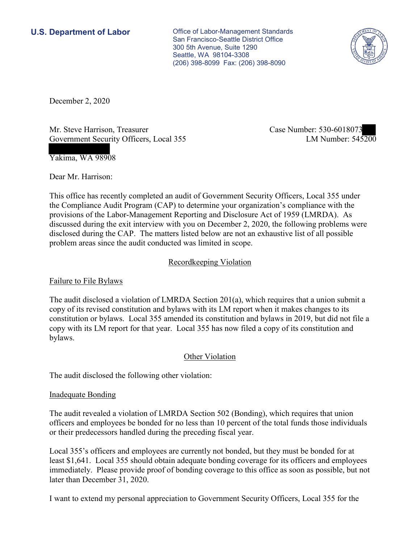**U.S. Department of Labor Conservative Conservative Conservative Conservative U.S.** Department of Labor San Francisco-Seattle District Office 300 5th Avenue, Suite 1290 Seattle, WA 98104-3308 (206) 398-8099 Fax: (206) 398-8090



December 2, 2020

Mr. Steve Harrison, Treasurer Case Number: 530-6018073 Government Security Officers, Local 355

LM Number: 545200

Yakima, WA 98908

Dear Mr. Harrison:

 This office has recently completed an audit of Government Security Officers, Local 355 under the Compliance Audit Program (CAP) to determine your organization's compliance with the provisions of the Labor-Management Reporting and Disclosure Act of 1959 (LMRDA). As discussed during the exit interview with you on December 2, 2020, the following problems were disclosed during the CAP. The matters listed below are not an exhaustive list of all possible problem areas since the audit conducted was limited in scope.

## Recordkeeping Violation

Failure to File Bylaws

 copy with its LM report for that year. Local 355 has now filed a copy of its constitution and The audit disclosed a violation of LMRDA Section 201(a), which requires that a union submit a copy of its revised constitution and bylaws with its LM report when it makes changes to its constitution or bylaws. Local 355 amended its constitution and bylaws in 2019, but did not file a bylaws.

## Other Violation

The audit disclosed the following other violation:

## Inadequate Bonding

 or their predecessors handled during the preceding fiscal year. The audit revealed a violation of LMRDA Section 502 (Bonding), which requires that union officers and employees be bonded for no less than 10 percent of the total funds those individuals

 Local 355's officers and employees are currently not bonded, but they must be bonded for at least \$1,641. Local 355 should obtain adequate bonding coverage for its officers and employees immediately. Please provide proof of bonding coverage to this office as soon as possible, but not later than December 31, 2020.

I want to extend my personal appreciation to Government Security Officers, Local 355 for the